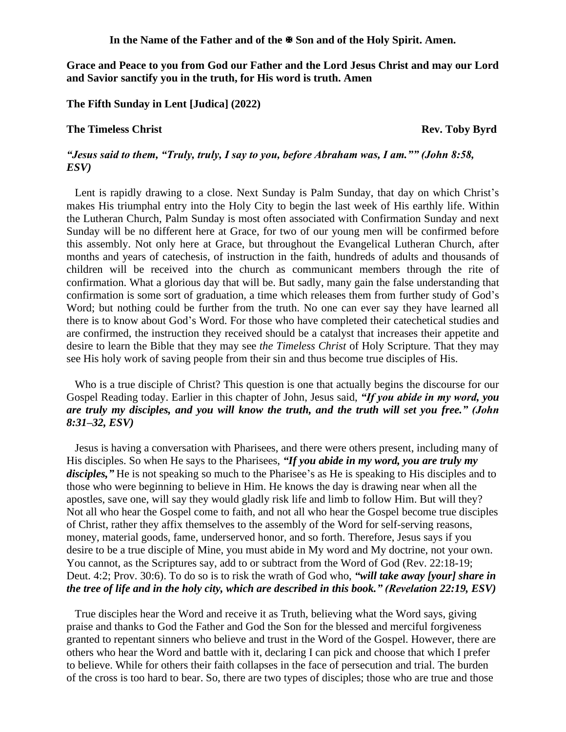In the Name of the Father and of the  $\mathbb{F}$  Son and of the Holy Spirit. Amen.

**Grace and Peace to you from God our Father and the Lord Jesus Christ and may our Lord and Savior sanctify you in the truth, for His word is truth. Amen**

**The Fifth Sunday in Lent [Judica] (2022)** 

## **The Timeless Christ** Rev. Toby Byrd

# *"Jesus said to them, "Truly, truly, I say to you, before Abraham was, I am."" (John 8:58, ESV)*

Lent is rapidly drawing to a close. Next Sunday is Palm Sunday, that day on which Christ's makes His triumphal entry into the Holy City to begin the last week of His earthly life. Within the Lutheran Church, Palm Sunday is most often associated with Confirmation Sunday and next Sunday will be no different here at Grace, for two of our young men will be confirmed before this assembly. Not only here at Grace, but throughout the Evangelical Lutheran Church, after months and years of catechesis, of instruction in the faith, hundreds of adults and thousands of children will be received into the church as communicant members through the rite of confirmation. What a glorious day that will be. But sadly, many gain the false understanding that confirmation is some sort of graduation, a time which releases them from further study of God's Word; but nothing could be further from the truth. No one can ever say they have learned all there is to know about God's Word. For those who have completed their catechetical studies and are confirmed, the instruction they received should be a catalyst that increases their appetite and desire to learn the Bible that they may see *the Timeless Christ* of Holy Scripture. That they may see His holy work of saving people from their sin and thus become true disciples of His.

Who is a true disciple of Christ? This question is one that actually begins the discourse for our Gospel Reading today. Earlier in this chapter of John, Jesus said, *"If you abide in my word, you are truly my disciples, and you will know the truth, and the truth will set you free." (John 8:31–32, ESV)*

Jesus is having a conversation with Pharisees, and there were others present, including many of His disciples. So when He says to the Pharisees, *"If you abide in my word, you are truly my disciples,"* He is not speaking so much to the Pharisee's as He is speaking to His disciples and to those who were beginning to believe in Him. He knows the day is drawing near when all the apostles, save one, will say they would gladly risk life and limb to follow Him. But will they? Not all who hear the Gospel come to faith, and not all who hear the Gospel become true disciples of Christ, rather they affix themselves to the assembly of the Word for self-serving reasons, money, material goods, fame, underserved honor, and so forth. Therefore, Jesus says if you desire to be a true disciple of Mine, you must abide in My word and My doctrine, not your own. You cannot, as the Scriptures say, add to or subtract from the Word of God (Rev. 22:18-19; Deut. 4:2; Prov. 30:6). To do so is to risk the wrath of God who, *"will take away [your] share in the tree of life and in the holy city, which are described in this book." (Revelation 22:19, ESV)*

True disciples hear the Word and receive it as Truth, believing what the Word says, giving praise and thanks to God the Father and God the Son for the blessed and merciful forgiveness granted to repentant sinners who believe and trust in the Word of the Gospel. However, there are others who hear the Word and battle with it, declaring I can pick and choose that which I prefer to believe. While for others their faith collapses in the face of persecution and trial. The burden of the cross is too hard to bear. So, there are two types of disciples; those who are true and those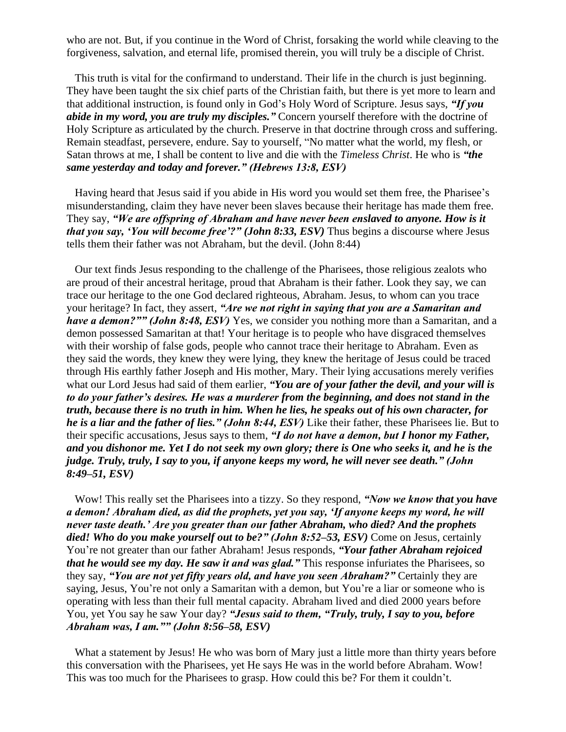who are not. But, if you continue in the Word of Christ, forsaking the world while cleaving to the forgiveness, salvation, and eternal life, promised therein, you will truly be a disciple of Christ.

This truth is vital for the confirmand to understand. Their life in the church is just beginning. They have been taught the six chief parts of the Christian faith, but there is yet more to learn and that additional instruction, is found only in God's Holy Word of Scripture. Jesus says, *"If you abide in my word, you are truly my disciples."* Concern yourself therefore with the doctrine of Holy Scripture as articulated by the church. Preserve in that doctrine through cross and suffering. Remain steadfast, persevere, endure. Say to yourself, "No matter what the world, my flesh, or Satan throws at me, I shall be content to live and die with the *Timeless Christ*. He who is *"the same yesterday and today and forever." (Hebrews 13:8, ESV)* 

Having heard that Jesus said if you abide in His word you would set them free, the Pharisee's misunderstanding, claim they have never been slaves because their heritage has made them free. They say, *"We are offspring of Abraham and have never been enslaved to anyone. How is it that you say, 'You will become free'?" (John 8:33, ESV)* Thus begins a discourse where Jesus tells them their father was not Abraham, but the devil. (John 8:44)

Our text finds Jesus responding to the challenge of the Pharisees, those religious zealots who are proud of their ancestral heritage, proud that Abraham is their father. Look they say, we can trace our heritage to the one God declared righteous, Abraham. Jesus, to whom can you trace your heritage? In fact, they assert, *"Are we not right in saying that you are a Samaritan and have a demon?"" (John 8:48, ESV)* Yes, we consider you nothing more than a Samaritan, and a demon possessed Samaritan at that! Your heritage is to people who have disgraced themselves with their worship of false gods, people who cannot trace their heritage to Abraham. Even as they said the words, they knew they were lying, they knew the heritage of Jesus could be traced through His earthly father Joseph and His mother, Mary. Their lying accusations merely verifies what our Lord Jesus had said of them earlier, *"You are of your father the devil, and your will is to do your father's desires. He was a murderer from the beginning, and does not stand in the truth, because there is no truth in him. When he lies, he speaks out of his own character, for he is a liar and the father of lies." (John 8:44, ESV)* Like their father, these Pharisees lie. But to their specific accusations, Jesus says to them, *"I do not have a demon, but I honor my Father, and you dishonor me. Yet I do not seek my own glory; there is One who seeks it, and he is the judge. Truly, truly, I say to you, if anyone keeps my word, he will never see death." (John 8:49–51, ESV)*

Wow! This really set the Pharisees into a tizzy. So they respond, *"Now we know that you have a demon! Abraham died, as did the prophets, yet you say, 'If anyone keeps my word, he will never taste death.' Are you greater than our father Abraham, who died? And the prophets*  died! Who do you make yourself out to be?" (John 8:52–53, ESV) Come on Jesus, certainly You're not greater than our father Abraham! Jesus responds, *"Your father Abraham rejoiced that he would see my day. He saw it and was glad."* This response infuriates the Pharisees, so they say, *"You are not yet fifty years old, and have you seen Abraham?"* Certainly they are saying, Jesus, You're not only a Samaritan with a demon, but You're a liar or someone who is operating with less than their full mental capacity. Abraham lived and died 2000 years before You, yet You say he saw Your day? *"Jesus said to them, "Truly, truly, I say to you, before Abraham was, I am."" (John 8:56–58, ESV)* 

What a statement by Jesus! He who was born of Mary just a little more than thirty years before this conversation with the Pharisees, yet He says He was in the world before Abraham. Wow! This was too much for the Pharisees to grasp. How could this be? For them it couldn't.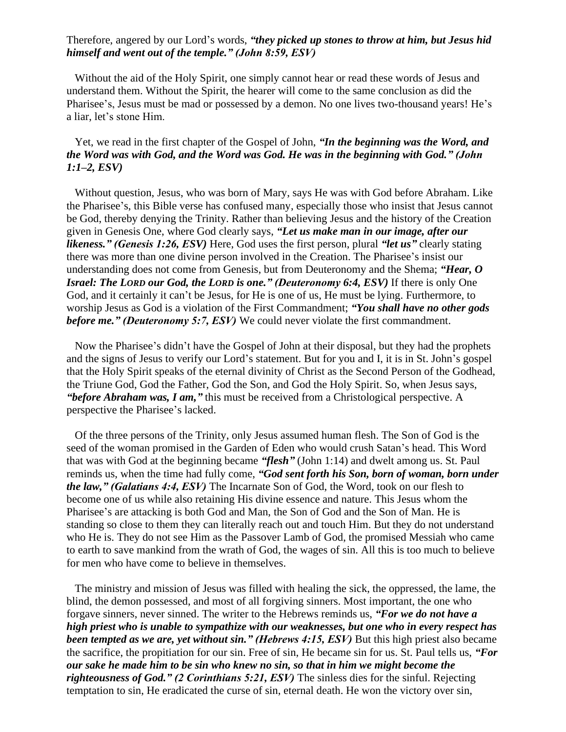## Therefore, angered by our Lord's words, *"they picked up stones to throw at him, but Jesus hid himself and went out of the temple." (John 8:59, ESV)*

Without the aid of the Holy Spirit, one simply cannot hear or read these words of Jesus and understand them. Without the Spirit, the hearer will come to the same conclusion as did the Pharisee's, Jesus must be mad or possessed by a demon. No one lives two-thousand years! He's a liar, let's stone Him.

# Yet, we read in the first chapter of the Gospel of John, *"In the beginning was the Word, and the Word was with God, and the Word was God. He was in the beginning with God." (John 1:1–2, ESV)*

Without question, Jesus, who was born of Mary, says He was with God before Abraham. Like the Pharisee's, this Bible verse has confused many, especially those who insist that Jesus cannot be God, thereby denying the Trinity. Rather than believing Jesus and the history of the Creation given in Genesis One, where God clearly says, *"Let us make man in our image, after our likeness." (Genesis 1:26, ESV)* Here, God uses the first person, plural *"let us"* clearly stating there was more than one divine person involved in the Creation. The Pharisee's insist our understanding does not come from Genesis, but from Deuteronomy and the Shema; *"Hear, O Israel: The LORD our God, the LORD is one." (Deuteronomy 6:4, ESV)* If there is only One God, and it certainly it can't be Jesus, for He is one of us, He must be lying. Furthermore, to worship Jesus as God is a violation of the First Commandment; *"You shall have no other gods before me." (Deuteronomy 5:7, ESV)* We could never violate the first commandment.

Now the Pharisee's didn't have the Gospel of John at their disposal, but they had the prophets and the signs of Jesus to verify our Lord's statement. But for you and I, it is in St. John's gospel that the Holy Spirit speaks of the eternal divinity of Christ as the Second Person of the Godhead, the Triune God, God the Father, God the Son, and God the Holy Spirit. So, when Jesus says, *"before Abraham was, I am,"* this must be received from a Christological perspective. A perspective the Pharisee's lacked.

Of the three persons of the Trinity, only Jesus assumed human flesh. The Son of God is the seed of the woman promised in the Garden of Eden who would crush Satan's head. This Word that was with God at the beginning became *"flesh"* (John 1:14) and dwelt among us. St. Paul reminds us, when the time had fully come, *"God sent forth his Son, born of woman, born under the law," (Galatians 4:4, ESV)* The Incarnate Son of God, the Word, took on our flesh to become one of us while also retaining His divine essence and nature. This Jesus whom the Pharisee's are attacking is both God and Man, the Son of God and the Son of Man. He is standing so close to them they can literally reach out and touch Him. But they do not understand who He is. They do not see Him as the Passover Lamb of God, the promised Messiah who came to earth to save mankind from the wrath of God, the wages of sin. All this is too much to believe for men who have come to believe in themselves.

The ministry and mission of Jesus was filled with healing the sick, the oppressed, the lame, the blind, the demon possessed, and most of all forgiving sinners. Most important, the one who forgave sinners, never sinned. The writer to the Hebrews reminds us, *"For we do not have a high priest who is unable to sympathize with our weaknesses, but one who in every respect has been tempted as we are, yet without sin." (Hebrews 4:15, ESV)* But this high priest also became the sacrifice, the propitiation for our sin. Free of sin, He became sin for us. St. Paul tells us, *"For our sake he made him to be sin who knew no sin, so that in him we might become the righteousness of God." (2 Corinthians 5:21, ESV)* The sinless dies for the sinful. Rejecting temptation to sin, He eradicated the curse of sin, eternal death. He won the victory over sin,